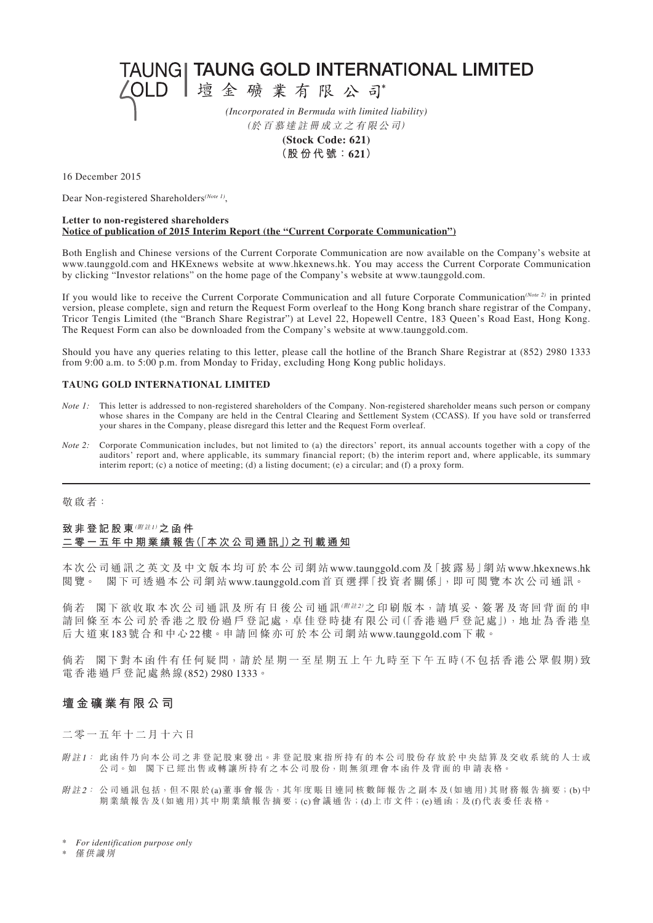TAUNG| TAUNG GOLD INTERNATIONAL LIMITED

△OLD |壇金礦業有限公司

*(Incorporated in Bermuda with limited liability)* (於 百 慕 達 註 冊 成 立 之 有 限 公 司)

> **(Stock Code: 621) (股 份 代 號:621)**

16 December 2015

Dear Non-registered Shareholders*(Note 1)*,

#### **Letter to non-registered shareholders Notice of publication of 2015 Interim Report (the "Current Corporate Communication")**

Both English and Chinese versions of the Current Corporate Communication are now available on the Company's website at www.taunggold.com and HKExnews website at www.hkexnews.hk. You may access the Current Corporate Communication by clicking "Investor relations" on the home page of the Company's website at www.taunggold.com.

If you would like to receive the Current Corporate Communication and all future Corporate Communication*(Note 2)* in printed version, please complete, sign and return the Request Form overleaf to the Hong Kong branch share registrar of the Company, Tricor Tengis Limited (the "Branch Share Registrar") at Level 22, Hopewell Centre, 183 Queen's Road East, Hong Kong. The Request Form can also be downloaded from the Company's website at www.taunggold.com.

Should you have any queries relating to this letter, please call the hotline of the Branch Share Registrar at (852) 2980 1333 from 9:00 a.m. to 5:00 p.m. from Monday to Friday, excluding Hong Kong public holidays.

#### **TAUNG GOLD INTERNATIONAL LIMITED**

- *Note 1*: This letter is addressed to non-registered shareholders of the Company. Non-registered shareholder means such person or company whose shares in the Company are held in the Central Clearing and Settlement System (CCASS). If you have sold or transferred your shares in the Company, please disregard this letter and the Request Form overleaf.
- *Note 2:* Corporate Communication includes, but not limited to (a) the directors' report, its annual accounts together with a copy of the auditors' report and, where applicable, its summary financial report; (b) the interim report and, where applicable, its summary interim report; (c) a notice of meeting; (d) a listing document; (e) a circular; and (f) a proxy form.

### 敬 啟 者:

## **致 非 登 記 股 東**(附 <sup>註</sup>1)**之 函 件 二 零 一 五 年 中 期 業 績 報 告(「本 次 公 司 通 訊」)之 刊 載 通 知**

本 次 公 司 通 訊 之 英 文 及 中 文 版 本 均 可 於 本 公 司 網 站www.taunggold.com及「披 露 易」網 站www.hkexnews.hk 閱 覽。 閣 下 可 透 過 本 公 司 網 站www.taunggold.com首 頁 選 擇「投 資 者 關 係」,即 可 閱 覽 本 次 公 司 通 訊。

倘若 閣下欲收取本次公司通訊及所有日後公司通訊(W註2)之印刷版本,請填妥、簽署及寄回背面的申 請回條至本公司於香港之股份過戶登記處,卓佳登時捷有限公司(「香港過戶登記處」),地址為香港皇 后 大 道 東183號 合 和 中 心22樓。申 請 回 條 亦 可 於 本 公 司 網 站www.taunggold.com下 載。

倘若 閣下對本函件有任何疑問,請於星期一至星期五上午九時至下午五時(不包括香港公眾假期)致 電 香 港 過 戶 登 記 處 熱 線(852) 2980 1333。

## **壇 金 礦 業 有 限 公 司**

二 零 一 五 年 十 二 月 十 六 日

- 附註1: 此函件乃向本公司之非登記股東發出。非登記股東指所持有的本公司股份存放於中央結算及交收系統的人士或 公司。如 閣下已經出售或轉讓所持有之本公司股份,則無須理會本函件及背面的申請表格。
- 附註2: 公司通訊包括,但不限於(a)董事會報告,其年度賬目連同核數師報告之副本及(如適用)其財務報告摘要;(b)中 期 業 績 報 告 及 (如 適 用) 其 中 期 業 績 報 告 摘 要 ; (c)會 議 通 告 ; (d) 上 市 文 件 ; (e) 通 函 ; 及 (f)代 表 委 任 表 格 。

僅 供 識 別

<sup>\*</sup> *For identification purpose only*